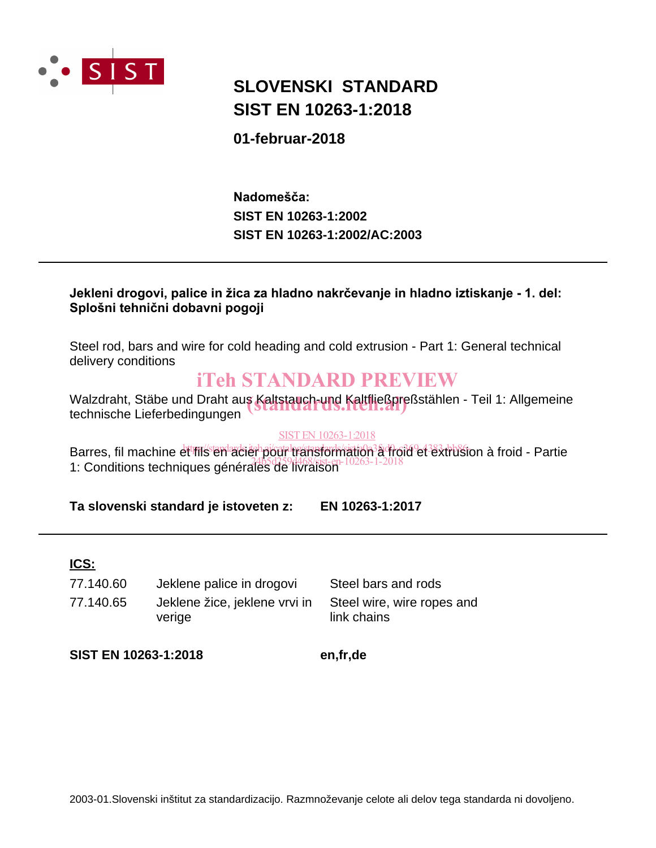

## **SIST EN 10263-1:2018 SLOVENSKI STANDARD**

## **01-februar-2018**

**SIST EN 10263-1:2002/AC:2003 SIST EN 10263-1:2002** Nadomešča:

### Jekleni drogovi, palice in žica za hladno nakrčevanje in hladno iztiskanje - 1. del: Splošni tehnični dobavni pogoji

Steel rod, bars and wire for cold heading and cold extrusion - Part 1: General technical delivery conditions

## iTeh STANDARD PREVIEW

Walzdraht, Stäbe und Draht aus Kaltstauch-und Kaltfließpreßstählen - Teil 1: Allgemeine<br>technische Lieferbedingungen technische Lieferbedingungen

#### SIST EN 10263-1:2018

Barres, fil machine et fils en acier pour transformation à froid et extrusion à froid - Partie Barroo, in mashino of the on abiogarado and state in 10263-1-2018<br>1: Conditions techniques générales de livraison

**Ta slovenski standard je istoveten z: EN 10263-1:2017**

### **ICS:**

77.140.65 Jeklene žice, jeklene vrvi in verige 77.140.60 Jeklene palice in drogovi Steel bars and rods

Steel wire, wire ropes and link chains

**SIST EN 10263-1:2018 en,fr,de**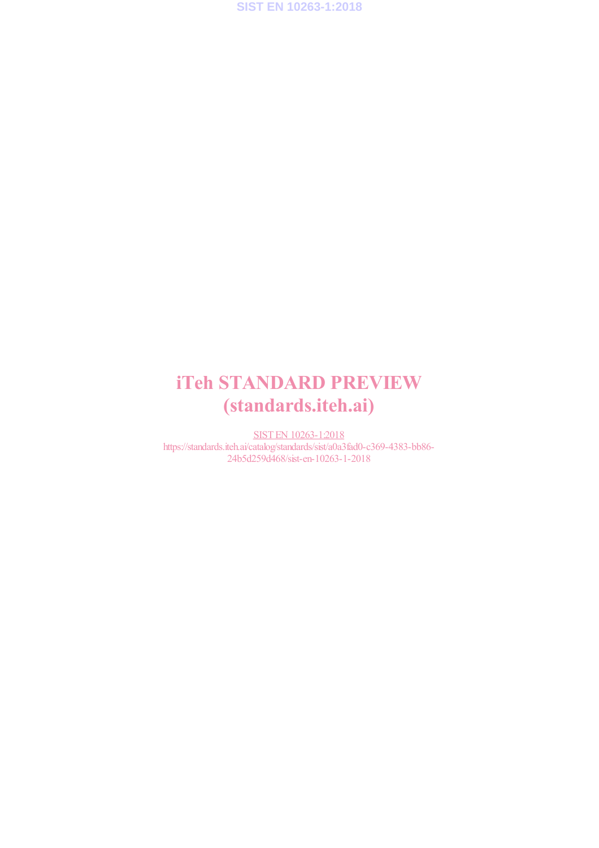

## iTeh STANDARD PREVIEW (standards.iteh.ai)

SIST EN 10263-1:2018 https://standards.iteh.ai/catalog/standards/sist/a0a3fad0-c369-4383-bb86- 24b5d259d468/sist-en-10263-1-2018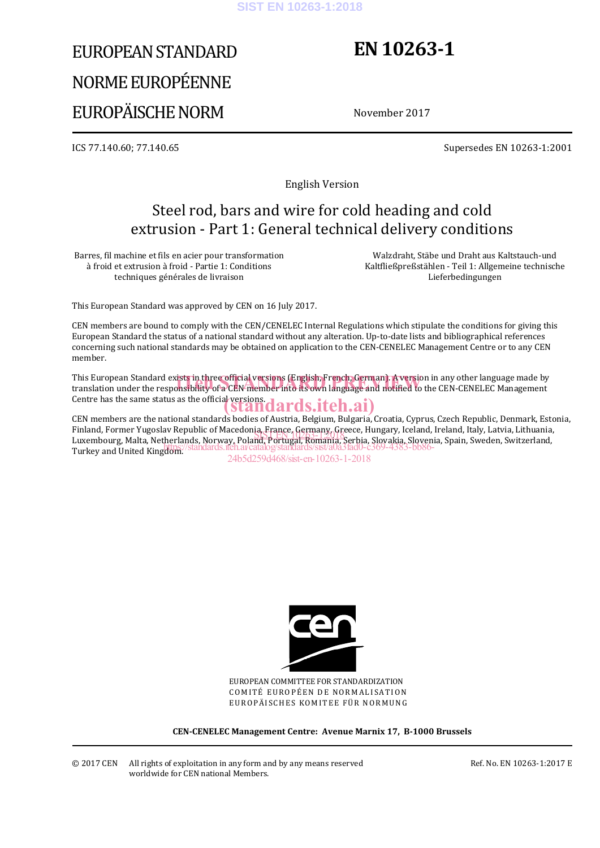#### **SIST EN 10263-1:2018**

# EUROPEAN STANDARD NORME EUROPÉENNE EUROPÄISCHE NORM

## **EN 10263-1**

November 2017

ICS 77.140.60; 77.140.65 Supersedes EN 10263-1:2001

English Version

## Steel rod, bars and wire for cold heading and cold extrusion - Part 1: General technical delivery conditions

Barres, fil machine et fils en acier pour transformation à froid et extrusion à froid - Partie 1: Conditions techniques générales de livraison

Walzdraht, Stäbe und Draht aus Kaltstauch-und Kaltfließpreßstählen - Teil 1: Allgemeine technische Lieferbedingungen

This European Standard was approved by CEN on 16 July 2017.

CEN members are bound to comply with the CEN/CENELEC Internal Regulations which stipulate the conditions for giving this European Standard the status of a national standard without any alteration. Up-to-date lists and bibliographical references concerning such national standards may be obtained on application to the CEN-CENELEC Management Centre or to any CEN member.

This European Standard exists in three official versions (English, French, German). A version in any other language made by This European Standard exists in three official versions (English, French, German). A version in any other language made by<br>translation under the responsibility of a CEN member into its own language and notified to the CEN Centre has the same status as the official versions.<br>
Standards.iteh.ai)

CEN members are the national standards bodies of Austria, Belgium, Bulgaria, Croatia, Cyprus, Czech Republic, Denmark, Estonia, Finland, Former Yugoslav Republic of Macedonia, France, Germany, Greece, Hungary, Iceland, Ireland, Italy, Latvia, Lithuania, rinianu, roriner Tugosiav Republic of Maceuonia, France, Germany<sub>o</sub>ukeece, Hungary, Icelanu, Irelanu, Italy, Latvia, Lithuania,<br>Luxembourg, Malta, Netherlands, Norway, Poland, Portugal, Romania, Serbia, Slovakia, Slovenia, Turkey and United Kingdom.<sup>7</sup>/<sub>St</sub> https://standards.iteh.ai/catalog/standards/sist/a0a3fad0-c369-4383-bb86-

24b5d259d468/sist-en-10263-1-2018



EUROPEAN COMMITTEE FOR STANDARDIZATION COMITÉ EUROPÉEN DE NORMALISATION EUROPÄISCHES KOMITEE FÜR NORMUNG

**CEN-CENELEC Management Centre: Avenue Marnix 17, B-1000 Brussels**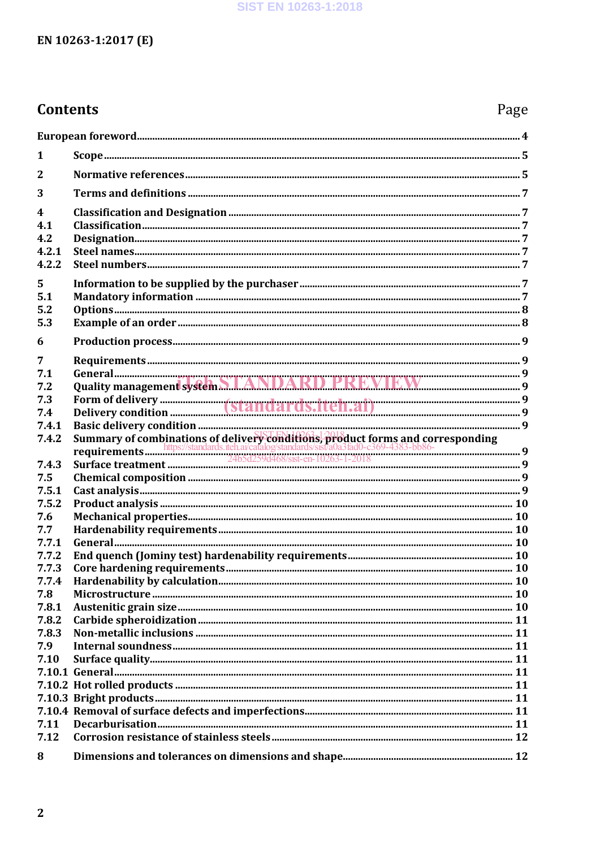## **Contents**

| 1                                                       |                                                                                                                                                                                                                                |  |
|---------------------------------------------------------|--------------------------------------------------------------------------------------------------------------------------------------------------------------------------------------------------------------------------------|--|
| $\overline{2}$                                          |                                                                                                                                                                                                                                |  |
| 3                                                       |                                                                                                                                                                                                                                |  |
| $\overline{\mathbf{4}}$<br>4.1<br>4.2<br>4.2.1<br>4.2.2 |                                                                                                                                                                                                                                |  |
| 5<br>5.1<br>5.2<br>5.3                                  |                                                                                                                                                                                                                                |  |
| 6                                                       |                                                                                                                                                                                                                                |  |
| 7<br>7.1                                                |                                                                                                                                                                                                                                |  |
| 7.2<br>7.3                                              |                                                                                                                                                                                                                                |  |
| 7.4                                                     |                                                                                                                                                                                                                                |  |
| 7.4.1                                                   |                                                                                                                                                                                                                                |  |
| 7.4.2                                                   | Summary of combinations of delivery combined in the set of the set of the set of the set of the set of the set of the set of the set of the set of the set of the set of the set of the set of the set of the set of the set o |  |
| 7.4.3                                                   |                                                                                                                                                                                                                                |  |
| 7.5                                                     |                                                                                                                                                                                                                                |  |
| 7.5.1                                                   |                                                                                                                                                                                                                                |  |
| 7.5.2                                                   |                                                                                                                                                                                                                                |  |
| 7.6                                                     |                                                                                                                                                                                                                                |  |
| 7.7                                                     |                                                                                                                                                                                                                                |  |
| 7.7.1                                                   |                                                                                                                                                                                                                                |  |
| 7.7.2                                                   |                                                                                                                                                                                                                                |  |
| 7.7.3                                                   |                                                                                                                                                                                                                                |  |
| 7.7.4                                                   |                                                                                                                                                                                                                                |  |
| 7.8<br>7.8.1                                            |                                                                                                                                                                                                                                |  |
| 7.8.2                                                   |                                                                                                                                                                                                                                |  |
| 7.8.3                                                   |                                                                                                                                                                                                                                |  |
| 7.9                                                     |                                                                                                                                                                                                                                |  |
| 7.10                                                    |                                                                                                                                                                                                                                |  |
|                                                         |                                                                                                                                                                                                                                |  |
|                                                         |                                                                                                                                                                                                                                |  |
|                                                         |                                                                                                                                                                                                                                |  |
|                                                         |                                                                                                                                                                                                                                |  |
| 7.11                                                    |                                                                                                                                                                                                                                |  |
| 7.12                                                    |                                                                                                                                                                                                                                |  |
| 8                                                       |                                                                                                                                                                                                                                |  |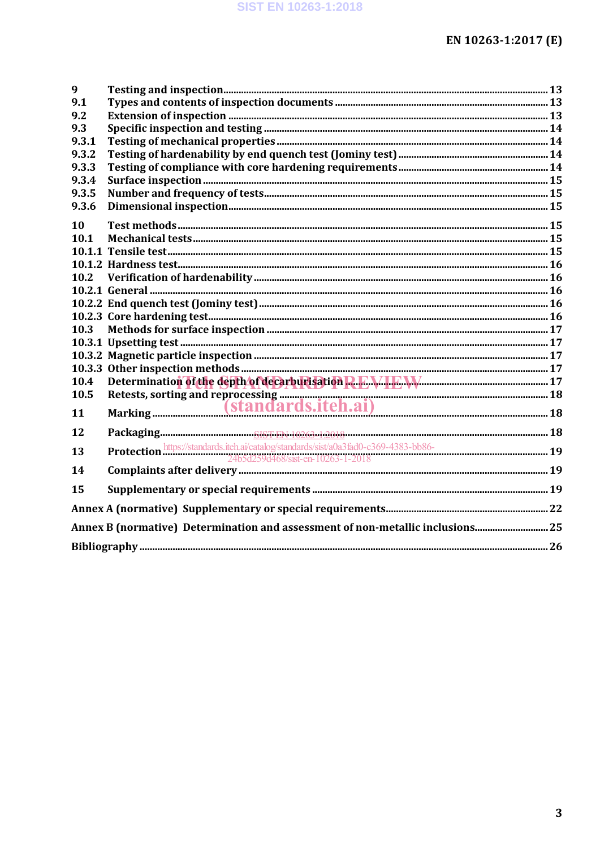| Annex B (normative) Determination and assessment of non-metallic inclusions25 |                                                                                                                           |  |
|-------------------------------------------------------------------------------|---------------------------------------------------------------------------------------------------------------------------|--|
|                                                                               |                                                                                                                           |  |
|                                                                               | Protection https://standards.iteh.ai/catalog/standards/sist/a0a3fad0-c369-4383-bb86-<br>24b5d259d468/sist-en-10263-1-2018 |  |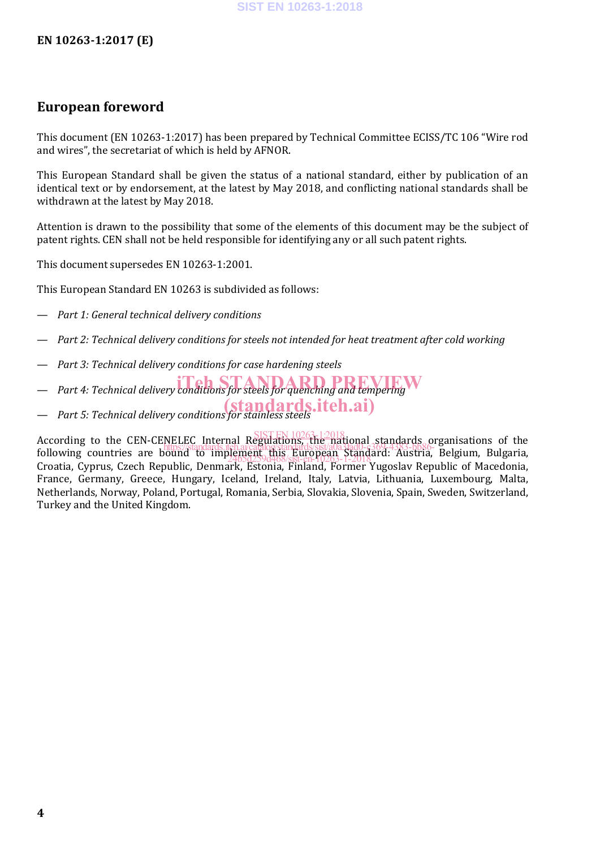## **European foreword**

This document (EN 10263-1:2017) has been prepared by Technical Committee ECISS/TC 106 "Wire rod and wires", the secretariat of which is held by AFNOR.

This European Standard shall be given the status of a national standard, either by publication of an identical text or by endorsement, at the latest by May 2018, and conflicting national standards shall be withdrawn at the latest by May 2018.

Attention is drawn to the possibility that some of the elements of this document may be the subject of patent rights. CEN shall not be held responsible for identifying any or all such patent rights.

This document supersedes EN 10263-1:2001.

This European Standard EN 10263 is subdivided as follows:

- *Part 1: General technical delivery conditions*
- *Part 2: Technical delivery conditions for steels not intended for heat treatment after cold working*
- *Part 3: Technical delivery conditions for case hardening steels*
- *Part 4: Technical delivery conditions for steels for quenching and tempering*
- *Part 5: Technical delivery conditions for stainless steels* (standards.iteh.ai)
- 

According to the CEN-CENELEC Internal Regulations of the national standards organisations of the According to the national standards of the national standards of the national standards of the national standards of the nati following countries are bound to implement this European Standard: Austria, Belgium, Bulgaria,<br>Cusatia Cannus Casak Depublic Danm 2405d259d468/sist-en-10263-1-2018. Croatia, Cyprus, Czech Republic, Denmark, Estonia, Finland, Former Yugoslav Republic of Macedonia, France, Germany, Greece, Hungary, Iceland, Ireland, Italy, Latvia, Lithuania, Luxembourg, Malta, Netherlands, Norway, Poland, Portugal, Romania, Serbia, Slovakia, Slovenia, Spain, Sweden, Switzerland, Turkey and the United Kingdom. https://standards.iteh.ai/catalog/standards/sist/a0a3fad0-c369-4383-bb86-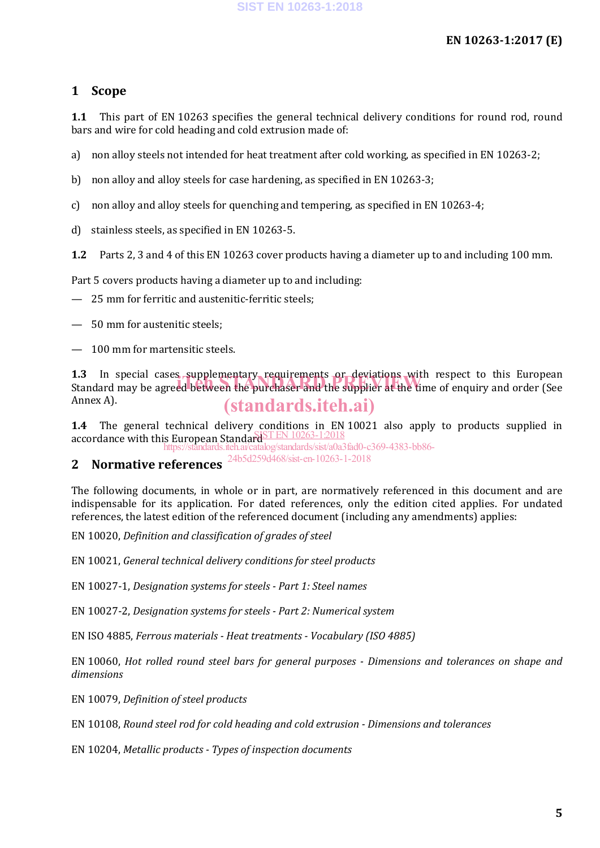### **1 Scope**

**1.1** This part of EN 10263 specifies the general technical delivery conditions for round rod, round bars and wire for cold heading and cold extrusion made of:

a) non alloy steels not intended for heat treatment after cold working, as specified in EN 10263-2;

- b) non alloy and alloy steels for case hardening, as specified in EN 10263-3;
- c) non alloy and alloy steels for quenching and tempering, as specified in EN 10263-4;
- d) stainless steels, as specified in EN 10263-5.
- **1.2** Parts 2, 3 and 4 of this EN 10263 cover products having a diameter up to and including 100 mm.

Part 5 covers products having a diameter up to and including:

- 25 mm for ferritic and austenitic-ferritic steels;
- 50 mm for austenitic steels;
- 100 mm for martensitic steels.

**1.3** In special cases supplementary requirements or deviations with respect to this European **1.3** In special cases supplementary requirements or deviations with respect to this European Standard may be agreed between the purchaser and the supplier at the time of enquiry and order (See Annex A). (standards.iteh.ai)

**1.4** The general technical delivery conditions in EN 10021 also apply to products supplied in accordance with this European Standard ST EN 10263-1:2018

https://standards.iteh.ai/catalog/standards/sist/a0a3fad0-c369-4383-bb86-

**2 Normative references** 24b5d259d468/sist-en-10263-1-2018

The following documents, in whole or in part, are normatively referenced in this document and are indispensable for its application. For dated references, only the edition cited applies. For undated references, the latest edition of the referenced document (including any amendments) applies:

EN 10020, *Definition and classification of grades of steel*

EN 10021, *General technical delivery conditions for steel products*

EN 10027-1, *Designation systems for steels - Part 1: Steel names*

EN 10027-2, *Designation systems for steels - Part 2: Numerical system*

EN ISO 4885, *Ferrous materials - Heat treatments - Vocabulary (ISO 4885)*

EN 10060, *Hot rolled round steel bars for general purposes - Dimensions and tolerances on shape and dimensions*

EN 10079, *Definition of steel products*

EN 10108, *Round steel rod for cold heading and cold extrusion - Dimensions and tolerances*

EN 10204, *Metallic products - Types of inspection documents*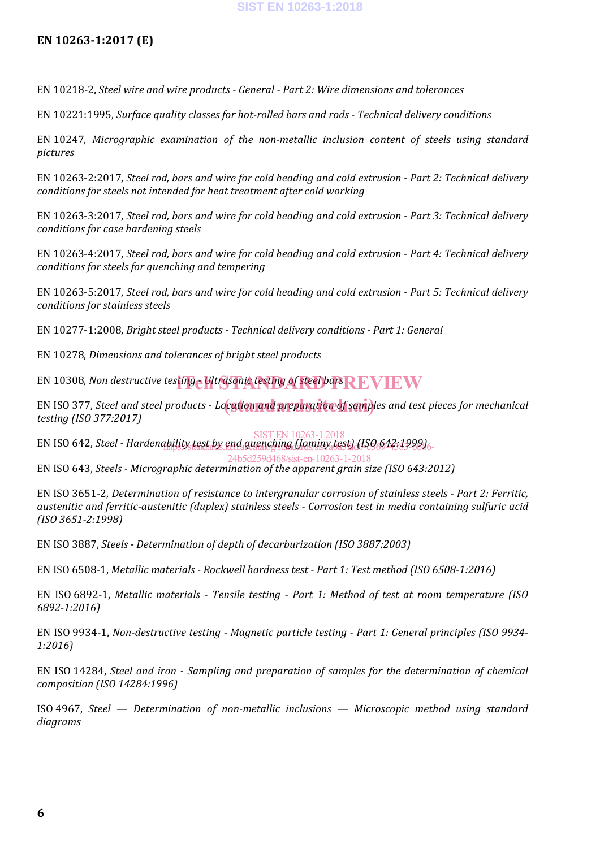### **EN 10263-1:2017 (E)**

EN 10218-2, *Steel wire and wire products - General - Part 2: Wire dimensions and tolerances*

EN 10221:1995, *Surface quality classes for hot-rolled bars and rods - Technical delivery conditions*

EN 10247, *Micrographic examination of the non-metallic inclusion content of steels using standard pictures*

EN 10263-2:2017, *Steel rod, bars and wire for cold heading and cold extrusion - Part 2: Technical delivery conditions for steels not intended for heat treatment after cold working*

EN 10263-3:2017, *Steel rod, bars and wire for cold heading and cold extrusion - Part 3: Technical delivery conditions for case hardening steels*

EN 10263-4:2017, *Steel rod, bars and wire for cold heading and cold extrusion - Part 4: Technical delivery conditions for steels for quenching and tempering*

EN 10263-5:2017, *Steel rod, bars and wire for cold heading and cold extrusion - Part 5: Technical delivery conditions for stainless steels*

EN 10277-1:2008, *Bright steel products - Technical delivery conditions - Part 1: General*

EN 10278, *Dimensions and tolerances of bright steel products*

EN 10308, Non destructive testing - Ultrasonic testing of steel bars **R F VIEW** 

EN ISO 377, Steel and steel products - Lo<mark>cation and preparation of samp</mark>les and test pieces for mechanical<br>testime<sup>(ISO</sup> 377, 2017) *testing (ISO 377:2017)*

EN ISO 642, *Steel - Hardenability test by end quenching (Jominy test) (ISO 642:1998)* 6-SIST EN 10263-1:2018

24b5d259d468/sist-en-10263-1-2018

EN ISO 643, *Steels - Micrographic determination of the apparent grain size (ISO 643:2012)*

EN ISO 3651-2, *Determination of resistance to intergranular corrosion of stainless steels - Part 2: Ferritic, austenitic and ferritic-austenitic (duplex) stainless steels - Corrosion test in media containing sulfuric acid (ISO 3651-2:1998)*

EN ISO 3887, *Steels - Determination of depth of decarburization (ISO 3887:2003)*

EN ISO 6508-1, *Metallic materials - Rockwell hardness test - Part 1: Test method (ISO 6508-1:2016)*

EN ISO 6892-1, *Metallic materials - Tensile testing - Part 1: Method of test at room temperature (ISO 6892-1:2016)*

EN ISO 9934-1, *Non-destructive testing - Magnetic particle testing - Part 1: General principles (ISO 9934- 1:2016)*

EN ISO 14284, *Steel and iron - Sampling and preparation of samples for the determination of chemical composition (ISO 14284:1996)*

ISO 4967, *Steel — Determination of non-metallic inclusions — Microscopic method using standard diagrams*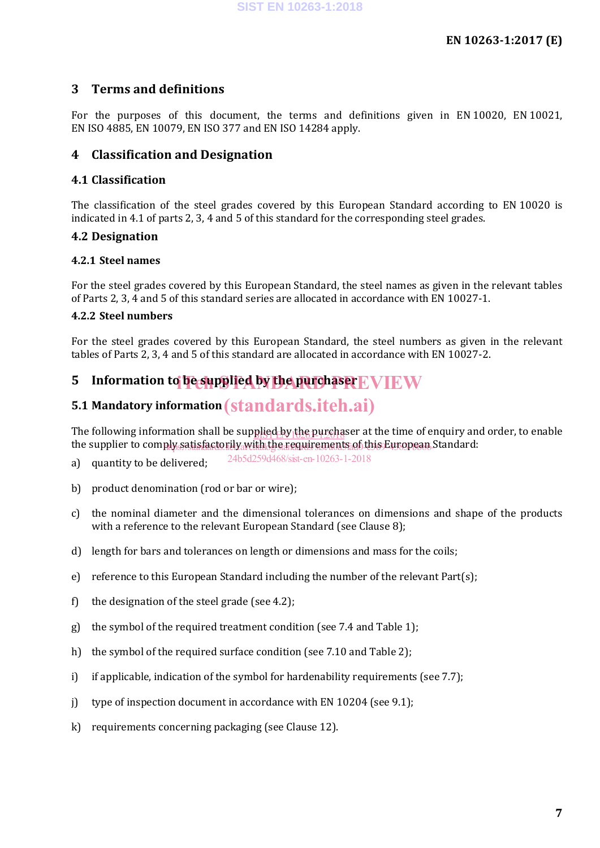### **3 Terms and definitions**

For the purposes of this document, the terms and definitions given in EN 10020, EN 10021, EN ISO 4885, EN 10079, EN ISO 377 and EN ISO 14284 apply.

#### **4 Classification and Designation**

#### **4.1 Classification**

The classification of the steel grades covered by this European Standard according to EN 10020 is indicated in 4.1 of parts 2, 3, 4 and 5 of this standard for the corresponding steel grades.

#### **4.2 Designation**

#### **4.2.1 Steel names**

For the steel grades covered by this European Standard, the steel names as given in the relevant tables of Parts 2, 3, 4 and 5 of this standard series are allocated in accordance with EN 10027-1.

#### **4.2.2 Steel numbers**

For the steel grades covered by this European Standard, the steel numbers as given in the relevant tables of Parts 2, 3, 4 and 5 of this standard are allocated in accordance with EN 10027-2.

## **5** Information to be supplied by the purchaser EVIEW

## **5.1 Mandatory information** (standards.iteh.ai)

The following information shall be supplied by the purchaser at the time of enquiry and order, to enable the supplier to comply satisfactorily with the requirements of this European Standard:

- a) quantity to be delivered; 24b5d259d468/sist-en-10263-1-2018
- b) product denomination (rod or bar or wire);
- c) the nominal diameter and the dimensional tolerances on dimensions and shape of the products with a reference to the relevant European Standard (see Clause 8);
- d) length for bars and tolerances on length or dimensions and mass for the coils;
- e) reference to this European Standard including the number of the relevant Part(s);
- f) the designation of the steel grade (see 4.2);
- g) the symbol of the required treatment condition (see 7.4 and Table 1);
- h) the symbol of the required surface condition (see 7.10 and Table 2);
- i) if applicable, indication of the symbol for hardenability requirements (see 7.7);
- j) type of inspection document in accordance with EN 10204 (see 9.1);
- k) requirements concerning packaging (see Clause 12).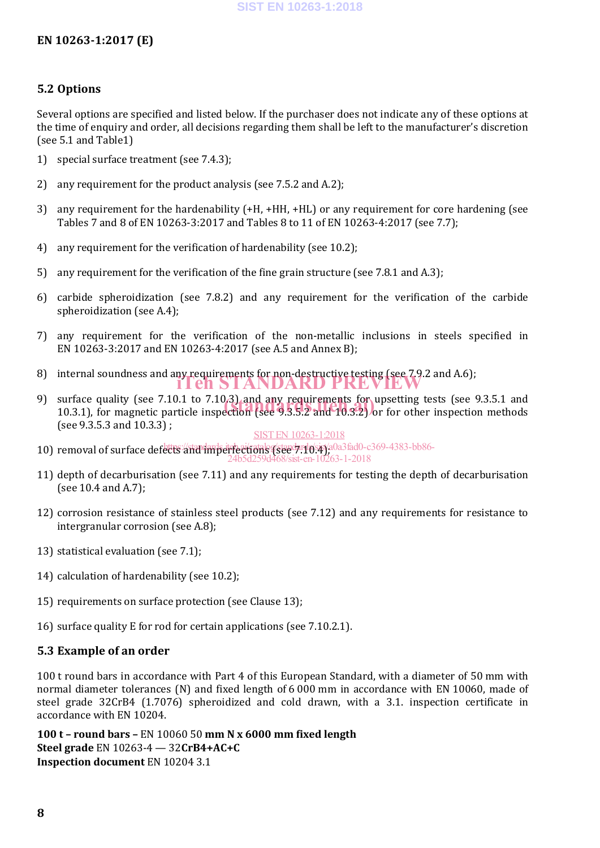#### **5.2 Options**

Several options are specified and listed below. If the purchaser does not indicate any of these options at the time of enquiry and order, all decisions regarding them shall be left to the manufacturer's discretion (see 5.1 and Table1)

- 1) special surface treatment (see 7.4.3);
- 2) any requirement for the product analysis (see 7.5.2 and A.2);
- 3) any requirement for the hardenability (+H, +HH, +HL) or any requirement for core hardening (see Tables 7 and 8 of EN 10263-3:2017 and Tables 8 to 11 of EN 10263-4:2017 (see 7.7);
- 4) any requirement for the verification of hardenability (see 10.2);
- 5) any requirement for the verification of the fine grain structure (see 7.8.1 and A.3);
- 6) carbide spheroidization (see 7.8.2) and any requirement for the verification of the carbide spheroidization (see A.4);
- 7) any requirement for the verification of the non-metallic inclusions in steels specified in EN 10263-3:2017 and EN 10263-4:2017 (see A.5 and Annex B);
- 8) internal soundness and any requirements for non-destructive testing (see 7.9.2 and A.6); **iTen STANDARD PREV**
- 9) surface quality (see 7.10.1 to 7.10.3) and any requirements for upsetting tests (see 9.3.5.1 and surface quality (see 7.10.1 to 7.10.3) and any requirements for upsetting tests (see 9.3.5.1 and 10.3.1), for magnetic particle inspection (see 9.3.5.2 and 10.3.2) or for other inspection methods (see 9.3.5.3 and 10.3.3) ; SIST EN 10263-1:2018
- 10) removal of surface defects and imperfections (see 7.10; n) 0.3 fad0-c369-4383-bb86sist-en-10263-1-2018
- 11) depth of decarburisation (see 7.11) and any requirements for testing the depth of decarburisation (see 10.4 and A.7);
- 12) corrosion resistance of stainless steel products (see 7.12) and any requirements for resistance to intergranular corrosion (see A.8);
- 13) statistical evaluation (see 7.1);
- 14) calculation of hardenability (see 10.2);
- 15) requirements on surface protection (see Clause 13);
- 16) surface quality E for rod for certain applications (see 7.10.2.1).

#### **5.3 Example of an order**

100 t round bars in accordance with Part 4 of this European Standard, with a diameter of 50 mm with normal diameter tolerances (N) and fixed length of 6 000 mm in accordance with EN 10060, made of steel grade 32CrB4 (1.7076) spheroidized and cold drawn, with a 3.1. inspection certificate in accordance with EN 10204.

**100 t – round bars –** EN 10060 50 **mm N x 6000 mm fixed length Steel grade** EN 10263-4 — 32**CrB4+AC+C Inspection document** EN 10204 3.1